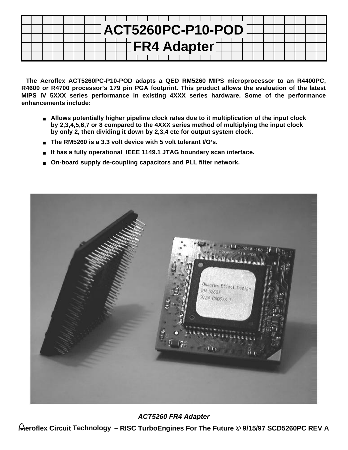|  |  |  |  |  | .                                          |  |  |
|--|--|--|--|--|--------------------------------------------|--|--|
|  |  |  |  |  | $\overline{\phantom{a}}$ ACT5260PC-P10-POD |  |  |
|  |  |  |  |  |                                            |  |  |
|  |  |  |  |  | $\pm$ FR4 Adapter                          |  |  |
|  |  |  |  |  |                                            |  |  |

**The Aeroflex ACT5260PC-P10-POD adapts a QED RM5260 MIPS microprocessor to an R4400PC, R4600 or R4700 processor's 179 pin PGA footprint. This product allows the evaluation of the latest MIPS IV 5XXX series performance in existing 4XXX series hardware. Some of the performance enhancements include:**

- **Allows potentially higher pipeline clock rates due to it multiplication of the input clock by 2,3,4,5,6,7 or 8 compared to the 4XXX series method of multiplying the input clock by only 2, then dividing it down by 2,3,4 etc for output system clock.**
- The RM5260 is a 3.3 volt device with 5 volt tolerant I/O's.
- It has a fully operational IEEE 1149.1 JTAG boundary scan interface.
- On-board supply de-coupling capacitors and PLL filter network.



**ACT5260 FR4 Adapter**

**eroflex Circuit Technology – RISC TurboEngines For The Future © 9/15/97 SCD5260PC REV A**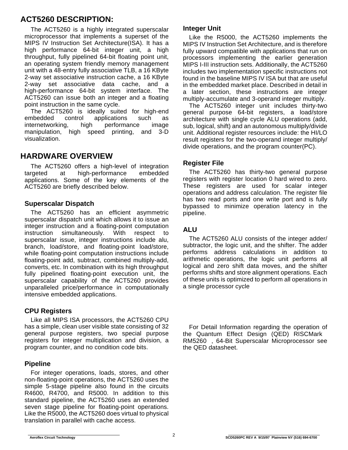# **ACT5260 DESCRIPTION:**

The ACT5260 is a highly integrated superscalar microprocessor that implements a superset of the MIPS IV Instruction Set Architecture(ISA). It has a high performance 64-bit integer unit, a high throughput, fully pipelined 64-bit floating point unit, an operating system friendly memory management unit with a 48-entry fully associative TLB, a 16 KByte 2-way set associative instruction cache, a 16 KByte 2-way set associative data cache, and a high-performance 64-bit system interface. The ACT5260 can issue both an integer and a floating point instruction in the same cycle.

The ACT5260 is ideally suited for high-end embedded control applications such as internetworking, high performance image manipulation, high speed printing, and 3-D visualization.

# **HARDWARE OVERVIEW**

The ACT5260 offers a high-level of integration targeted at high-performance embedded applications. Some of the key elements of the ACT5260 are briefly described below.

### **Superscalar Dispatch**

The ACT5260 has an efficient asymmetric superscalar dispatch unit which allows it to issue an integer instruction and a floating-point computation instruction simultaneously. With respect to superscalar issue, integer instructions include alu, branch, load/store, and floating-point load/store, while floating-point computation instructions include floating-point add, subtract, combined multiply-add, converts, etc. In combination with its high throughput fully pipelined floating-point execution unit, the superscalar capability of the ACT5260 provides unparalleled price/performance in computationally intensive embedded applications.

### **CPU Registers**

Like all MIPS ISA processors, the ACT5260 CPU has a simple, clean user visible state consisting of 32 general purpose registers, two special purpose registers for integer multiplication and division, a program counter, and no condition code bits.

### **Pipeline**

For integer operations, loads, stores, and other non-floating-point operations, the ACT5260 uses the simple 5-stage pipeline also found in the circuits R4600, R4700, and R5000. In addition to this standard pipeline, the ACT5260 uses an extended seven stage pipeline for floating-point operations. Like the R5000, the ACT5260 does virtual to physical translation in parallel with cache access.

### **Integer Unit**

Like the R5000, the ACT5260 implements the MIPS IV Instruction Set Architecture, and is therefore fully upward compatible with applications that run on processors implementing the earlier generation MIPS I-III instruction sets. Additionally, the ACT5260 includes two implementation specific instructions not found in the baseline MIPS IV ISA but that are useful in the embedded market place. Described in detail in a later section, these instructions are integer multiply-accumulate and 3-operand integer multiply.

The ACT5260 integer unit includes thirty-two general purpose 64-bit registers, a load/store architecture with single cycle ALU operations (add, sub, logical, shift) and an autonomous multiply/divide unit. Additional register resources include: the HI/LO result registers for the two-operand integer multiply/ divide operations, and the program counter(PC).

### **Register File**

The ACT5260 has thirty-two general purpose registers with register location 0 hard wired to zero. These registers are used for scalar integer operations and address calculation. The register file has two read ports and one write port and is fully bypassed to minimize operation latency in the pipeline.

## **ALU**

The ACT5260 ALU consists of the integer adder/ subtractor, the logic unit, and the shifter. The adder performs address calculations in addition to arithmetic operations, the logic unit performs all logical and zero shift data moves, and the shifter performs shifts and store alignment operations. Each of these units is optimized to perform all operations in a single processor cycle

For Detail Information regarding the operation of the Quantum Effect Design (QED) RISCMark<sup>™</sup> RM5260™, 64-Bit Superscalar Microprocessor see the QED datasheet.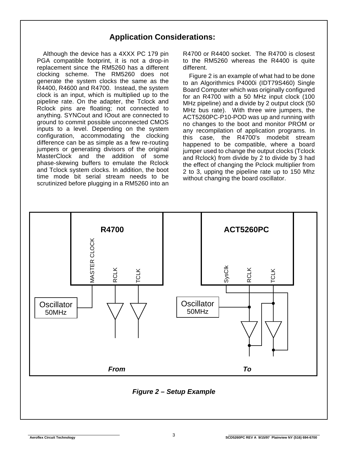# **Application Considerations:**

Although the device has a 4XXX PC 179 pin PGA compatible footprint, it is not a drop-in replacement since the RM5260 has a different clocking scheme. The RM5260 does not generate the system clocks the same as the R4400, R4600 and R4700. Instead, the system clock is an input, which is multiplied up to the pipeline rate. On the adapter, the Tclock and Rclock pins are floating; not connected to anything. SYNCout and IOout are connected to ground to commit possible unconnected CMOS inputs to a level. Depending on the system configuration, accommodating the clocking difference can be as simple as a few re-routing jumpers or generating divisors of the original MasterClock and the addition of some phase-skewing buffers to emulate the Rclock and Tclock system clocks. In addition, the boot time mode bit serial stream needs to be scrutinized before plugging in a RM5260 into an

R4700 or R4400 socket. The R4700 is closest to the RM5260 whereas the R4400 is quite different.

Figure 2 is an example of what had to be done to an Algorithmics P4000i (IDT79S460) Single Board Computer which was originally configured for an R4700 with a 50 MHz input clock (100 MHz pipeline) and a divide by 2 output clock (50 MHz bus rate). With three wire jumpers, the ACT5260PC-P10-POD was up and running with no changes to the boot and monitor PROM or any recompilation of application programs. In this case, the R4700's modebit stream happened to be compatible, where a board jumper used to change the output clocks (Tclock and Rclock) from divide by 2 to divide by 3 had the effect of changing the Pclock multiplier from 2 to 3, upping the pipeline rate up to 150 Mhz without changing the board oscillator.

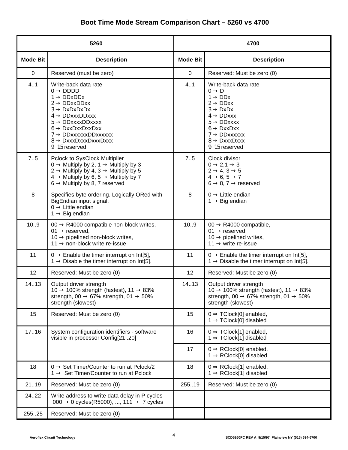|                 | 5260                                                                                                                                                                                                                                                                                                                 |                 | 4700                                                                                                                                                                                                                                                                   |
|-----------------|----------------------------------------------------------------------------------------------------------------------------------------------------------------------------------------------------------------------------------------------------------------------------------------------------------------------|-----------------|------------------------------------------------------------------------------------------------------------------------------------------------------------------------------------------------------------------------------------------------------------------------|
| <b>Mode Bit</b> | <b>Description</b>                                                                                                                                                                                                                                                                                                   | <b>Mode Bit</b> | <b>Description</b>                                                                                                                                                                                                                                                     |
| 0               | Reserved (must be zero)                                                                                                                                                                                                                                                                                              | $\mathbf 0$     | Reserved: Must be zero (0)                                                                                                                                                                                                                                             |
| 4.1             | Write-back data rate<br>$0 \rightarrow DDD$<br>$1 \rightarrow$ DDxDDx<br>$2 \rightarrow$ DDxxDDxx<br>$3 \rightarrow$ DxDxDxDx<br>$4 \rightarrow$ DDxxxDDxxx<br>$5 \rightarrow$ DDxxxxDDxxxx<br>$6 \rightarrow$ DxxDxxDxxDxx<br>$7 \rightarrow$ DDxxxxxxDDxxxxxx<br>$8 \rightarrow$ DxxxDxxxDxxxDxxx<br>9-15 reserved | 4.1             | Write-back data rate<br>$0 \rightarrow D$<br>$1 \rightarrow$ DDx<br>$2 \rightarrow$ DDxx<br>$3 \rightarrow$ DxDx<br>$4 \rightarrow$ DDxxx<br>$5 \rightarrow$ DDxxxx<br>$6 \rightarrow$ DxxDxx<br>$7 \rightarrow$ DDxxxxxx<br>$8 \rightarrow$ DxxxDxxx<br>9-15 reserved |
| 7.5             | Pclock to SysClock Multiplier<br>$0 \rightarrow$ Multiply by 2, 1 $\rightarrow$ Multiply by 3<br>$2 \rightarrow$ Multiply by 4, 3 $\rightarrow$ Multiply by 5<br>$4 \rightarrow$ Multiply by 6, 5 $\rightarrow$ Multiply by 7<br>$6 \rightarrow$ Multiply by 8, 7 reserved                                           | 7.5             | Clock divisor<br>$0 \rightarrow 2, 1 \rightarrow 3$<br>$2 \rightarrow 4, 3 \rightarrow 5$<br>$4 \rightarrow 6, 5 \rightarrow 7$<br>$6 \rightarrow 8, 7 \rightarrow$ reserved                                                                                           |
| 8               | Specifies byte ordering. Logically ORed with<br>BigEndian input signal.<br>$0 \rightarrow$ Little endian<br>$1 \rightarrow$ Big endian                                                                                                                                                                               | 8               | $0 \rightarrow$ Little endian<br>$1 \rightarrow$ Big endian                                                                                                                                                                                                            |
| 10.9            | 00 $\rightarrow$ R4000 compatible non-block writes,<br>01 $\rightarrow$ reserved,<br>10 $\rightarrow$ pipelined non-block writes,<br>$11 \rightarrow$ non-block write re-issue                                                                                                                                       | 10.9            | 00 $\rightarrow$ R4000 compatible,<br>01 $\rightarrow$ reserved,<br>10 $\rightarrow$ pipelined writes,<br>11 $\rightarrow$ write re-issue                                                                                                                              |
| 11              | $0 \rightarrow$ Enable the timer interrupt on Int[5],<br>$1 \rightarrow$ Disable the timer interrupt on Int[5].                                                                                                                                                                                                      | 11              | $0 \rightarrow$ Enable the timer interrupt on Int[5],<br>1 $\rightarrow$ Disable the timer interrupt on Int[5].                                                                                                                                                        |
| 12              | Reserved: Must be zero (0)                                                                                                                                                                                                                                                                                           | 12              | Reserved: Must be zero (0)                                                                                                                                                                                                                                             |
| 14.13           | Output driver strength<br>10 $\rightarrow$ 100% strength (fastest), 11 $\rightarrow$ 83%<br>strength, 00 $\rightarrow$ 67% strength, 01 $\rightarrow$ 50%<br>strength (slowest)                                                                                                                                      | 14.13           | Output driver strength<br>10 $\rightarrow$ 100% strength (fastest), 11 $\rightarrow$ 83%<br>strength, 00 $\rightarrow$ 67% strength, 01 $\rightarrow$ 50%<br>strength (slowest)                                                                                        |
| 15              | Reserved: Must be zero (0)                                                                                                                                                                                                                                                                                           | 15              | $0 \Rightarrow$ TClock[0] enabled,<br>$1 \Rightarrow$ TClock[0] disabled                                                                                                                                                                                               |
| 17.16           | System configuration identifiers - software<br>visible in processor Config[2120]                                                                                                                                                                                                                                     | 16              | $0 \Rightarrow$ TClock[1] enabled,<br>$1 \Rightarrow$ TClock[1] disabled                                                                                                                                                                                               |
|                 |                                                                                                                                                                                                                                                                                                                      | 17              | $0 \Rightarrow$ RClock[0] enabled,<br>$1 \Rightarrow RClock[0]$ disabled                                                                                                                                                                                               |
| 18              | $0 \rightarrow$ Set Timer/Counter to run at Pclock/2<br>$1 \rightarrow$ Set Timer/Counter to run at Pclock                                                                                                                                                                                                           | 18              | $0 \Rightarrow$ RClock[1] enabled,<br>$1 \Rightarrow$ RClock[1] disabled                                                                                                                                                                                               |
| 2119            | Reserved: Must be zero (0)                                                                                                                                                                                                                                                                                           | 25519           | Reserved: Must be zero (0)                                                                                                                                                                                                                                             |
| 2422            | Write address to write data delay in P cycles<br>000 $\rightarrow$ 0 cycles(R5000), , 111 $\rightarrow$ 7 cycles                                                                                                                                                                                                     |                 |                                                                                                                                                                                                                                                                        |
| 255.25          | Reserved: Must be zero (0)                                                                                                                                                                                                                                                                                           |                 |                                                                                                                                                                                                                                                                        |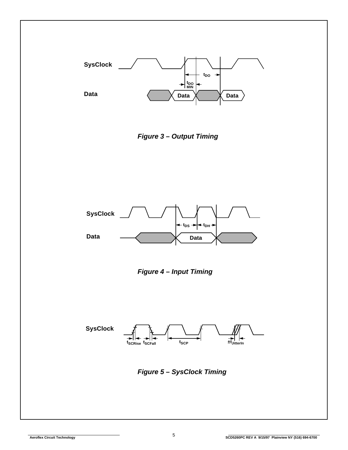





**Figure 4 – Input Timing**



**Figure 5 – SysClock Timing**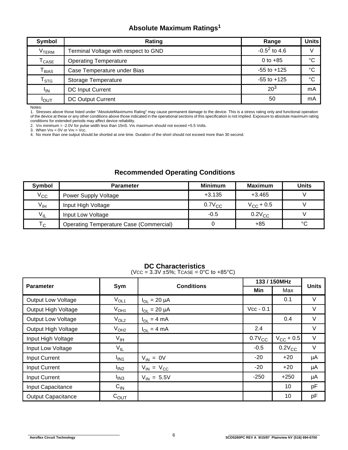# **Absolute Maximum Ratings<sup>1</sup>**

| Symbol                       | Rating                               | Range           | <b>Units</b> |
|------------------------------|--------------------------------------|-----------------|--------------|
| V <sub>TERM</sub>            | Terminal Voltage with respect to GND | $-0.5^2$ to 4.6 |              |
| $\mathsf{T}_{\mathsf{CASE}}$ | <b>Operating Temperature</b>         | 0 to $+85$      | $^{\circ}C$  |
| ${\mathsf T}_{\sf BIAS}$     | Case Temperature under Bias          | $-55$ to $+125$ | $^{\circ}C$  |
| $\mathsf{T}_{\textsf{STG}}$  | <b>Storage Temperature</b>           | $-55$ to $+125$ | °C           |
| <sup>I</sup> IN              | <b>DC Input Current</b>              | $20^{3}$        | mA           |
| <b>I</b> OUT                 | <b>DC Output Current</b>             | 50              | mA           |

Notes:

1. Stresses above those listed under "AbsoluteMaximums Rating" may cause permanent damage to the device. This is a stress rating only and functional operation<br>of the device at these or any other conditions above those indi conditions for extended periods may affect device reliability.

2. VIN minimum = -2.0V for pulse width less than 15nS. VIN maximum should not exceed +5.5 Volts. 3. When VIN < 0V or VIN > Vcc.

4. No more than one output should be shorted at one time. Duration of the short should not exceed more than 30 second.

# **Recommended Operating Conditions**

| Symbol                    | <b>Parameter</b>                               | <b>Minimum</b> | <b>Maximum</b>     | <b>Units</b> |
|---------------------------|------------------------------------------------|----------------|--------------------|--------------|
| $V_{\rm CC}$              | <b>Power Supply Voltage</b>                    | $+3.135$       | $+3.465$           |              |
| $V_{\text{IH}}$           | Input High Voltage                             | $0.7V_{CC}$    | $V_{\rm CC}$ + 0.5 |              |
| $V_{IL}$                  | Input Low Voltage                              | $-0.5$         | $0.2V_{CC}$        |              |
| $\mathsf{T}_{\mathsf{C}}$ | <b>Operating Temperature Case (Commercial)</b> |                | $+85$              | °C           |

### **DC Characteristics**

(VCC =  $3.3V \pm 5\%$ ; TCASE =  $0^{\circ}$ C to +85 $^{\circ}$ C)

| <b>Parameter</b>          |                              |                     | 133 / 150MHz | <b>Units</b>       |        |  |
|---------------------------|------------------------------|---------------------|--------------|--------------------|--------|--|
|                           | Sym                          | <b>Conditions</b>   | Min          | Max                |        |  |
| Output Low Voltage        | $V_{OL1}$                    | $I_{OL} = 20 \mu A$ |              | 0.1                | V      |  |
| Output High Voltage       | $V_{OH1}$                    | $I_{OL}$ = 20 µA    | $Vcc - 0.1$  |                    | V      |  |
| <b>Output Low Voltage</b> | $V_{OL2}$                    | $I_{OL} = 4 mA$     |              | 0.4                | V      |  |
| Output High Voltage       | V <sub>OH2</sub>             | $I_{OL} = 4 mA$     | 2.4          |                    | V      |  |
| Input High Voltage        | $V_{\mathsf{IH}}$            |                     | $0.7V_{CC}$  | $V_{\rm CC}$ + 0.5 | $\vee$ |  |
| Input Low Voltage         | $V_{IL}$                     |                     | $-0.5$       | $0.2V_{CC}$        | $\vee$ |  |
| <b>Input Current</b>      | <sup>I</sup> IN <sub>1</sub> | $V_{IN} = 0V$       | $-20$        | $+20$              | μA     |  |
| <b>Input Current</b>      | I <sub>IN2</sub>             | $V_{IN} = V_{CC}$   | $-20$        | $+20$              | μA     |  |
| <b>Input Current</b>      | $I_{IN3}$                    | $V_{IN} = 5.5V$     | $-250$       | $+250$             | μA     |  |
| Input Capacitance         | $C_{\text{IN}}$              |                     |              | 10                 | pF     |  |
| <b>Output Capacitance</b> | $C_{OUT}$                    |                     |              | 10                 | pF     |  |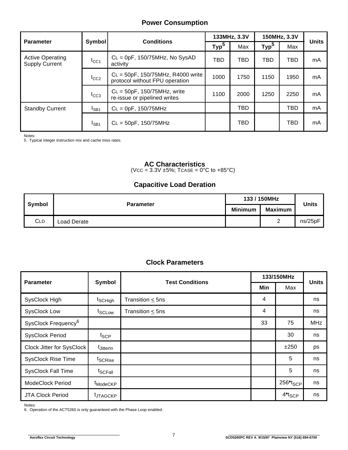### **Power Consumption**

|                                                  |               |                                                                       |                  | 133MHz, 3.3V | 150MHz, 3.3V     |            | <b>Units</b> |  |
|--------------------------------------------------|---------------|-----------------------------------------------------------------------|------------------|--------------|------------------|------------|--------------|--|
| <b>Parameter</b>                                 | <b>Symbol</b> | <b>Conditions</b>                                                     | Typ <sup>5</sup> | Max          | Typ <sup>5</sup> | Max        |              |  |
| <b>Active Operating</b><br><b>Supply Current</b> | ICC1          | $CL =$ 0pF, 150/75MHz, No SysAD<br>activity                           | TBD              | <b>TBD</b>   | <b>TBD</b>       | <b>TBD</b> | mA           |  |
|                                                  | $I_{CC2}$     | $CL = 50pF, 150/75MHz, R4000 write$<br>protocol without FPU operation | 1000             | 1750         | 1150             | 1950       | mA           |  |
| $I_{CC3}$                                        |               | $CL = 50pF$ , 150/75MHz, write<br>re-issue or pipelined writes        | 1100             | 2000         | 1250             | 2250       | mA           |  |
| <b>Standby Current</b>                           | $I_{SB1}$     | $CL =$ 0pF, 150/75MHz                                                 |                  | <b>TBD</b>   |                  | <b>TBD</b> | mA           |  |
| $I_{SB1}$                                        |               | $CL = 50pF, 150/75MHz$                                                |                  | <b>TBD</b>   |                  | <b>TBD</b> | mA           |  |

Notes:

5. Typical integer instruction mix and cache miss rates.

### **AC Characteristics**

 $(VCC = 3.3V \pm 5\%; TCASE = 0°C \text{ to } +85°C)$ 

### **Capacitive Load Deration**

| Symbol     | <b>Parameter</b> | 133 / 150MHz | <b>Units</b> |         |  |
|------------|------------------|--------------|--------------|---------|--|
|            |                  | Minimum      | Maximum      |         |  |
| <b>CLD</b> | Load Derate      |              | ⌒<br>∸       | ns/25pF |  |

### **Clock Parameters**

| <b>Parameter</b>                |                       | <b>Test Conditions</b> |     | 133/150MHz            | <b>Units</b> |  |
|---------------------------------|-----------------------|------------------------|-----|-----------------------|--------------|--|
|                                 | Symbol                |                        | Min | Max                   |              |  |
| SysClock High                   | t <sub>SCHigh</sub>   | Transition $\leq$ 5ns  | 4   |                       | ns           |  |
| <b>SysClock Low</b>             | t <sub>SCLow</sub>    | Transition $\leq$ 5ns  | 4   |                       | ns           |  |
| SysClock Frequency <sup>6</sup> |                       |                        | 33  | 75                    | <b>MHz</b>   |  |
| <b>SysClock Period</b>          | t <sub>SCP</sub>      |                        |     | 30                    | ns           |  |
| Clock Jitter for SysClock       | t <sub>JitterIn</sub> |                        |     | ±250                  | ps           |  |
| <b>SysClock Rise Time</b>       | t <sub>SCRise</sub>   |                        |     | 5                     | ns           |  |
| <b>SysClock Fall Time</b>       | t <sub>SCFall</sub>   |                        |     | 5                     | ns           |  |
| <b>ModeClock Period</b>         | <sup>t</sup> ModeCKP  |                        |     | 256*t <sub>SCP</sub>  | ns           |  |
| <b>JTA Clock Period</b>         | <sup>t</sup> JTAGCKP  |                        |     | $4^*$ t $_{\rm{SCP}}$ | ns           |  |

Notes:

6. Operation of the ACT5260 is only guaranteed with the Phase Loop enabled.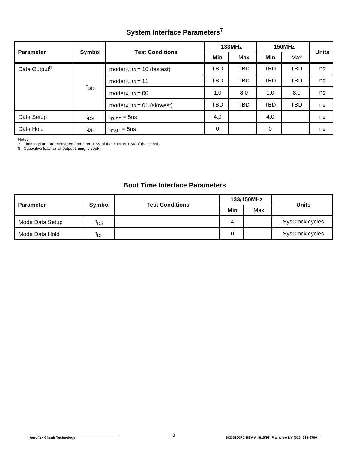# **System Interface Parameters<sup>7</sup>**

| <b>Parameter</b>         | Symbol          | <b>Test Conditions</b>       |            | <b>133MHz</b> | 150MHz     | <b>Units</b> |    |  |
|--------------------------|-----------------|------------------------------|------------|---------------|------------|--------------|----|--|
|                          |                 |                              | Min        | Max           | Min        | Max          |    |  |
| Data Output <sup>8</sup> |                 | $mode_{1413} = 10$ (fastest) | TBD        | TBD           | <b>TBD</b> | <b>TBD</b>   | ns |  |
|                          |                 | $mode_{1413} = 11$           | TBD        | TBD           | <b>TBD</b> | TBD          | ns |  |
|                          | $t_{\text{DO}}$ | $mode_{1413} = 00$           | 1.0        | 8.0           | 1.0        | 8.0          | ns |  |
|                          |                 | $mode_{1413} = 01$ (slowest) | <b>TBD</b> | TBD           | <b>TBD</b> | <b>TBD</b>   | ns |  |
| Data Setup               | $t_{DS}$        | $t_{\text{RISE}} = 5$ ns     | 4.0        |               | 4.0        |              | ns |  |
| Data Hold                | t <sub>DH</sub> | $t_{\mathsf{FALL}}$ = 5ns    | 0          |               | 0          |              | ns |  |

Notes:

7. Timmings are are measured from from 1.5V of the clock to 1.5V of the signal. 8. Capacitive load for all output timing is 50pF.

## **Boot Time Interface Parameters**

| <b>Parameter</b> | Symbol          | <b>Test Conditions</b> |     | 133/150MHz | <b>Units</b>    |
|------------------|-----------------|------------------------|-----|------------|-----------------|
|                  |                 |                        | Min | Max        |                 |
| Mode Data Setup  | फs              |                        |     |            | SysClock cycles |
| Mode Data Hold   | <sup>I</sup> DH |                        |     |            | SysClock cycles |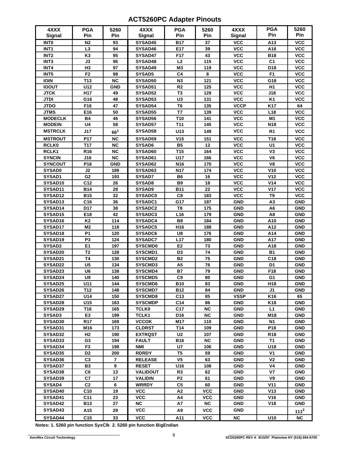# **ACT5260PC Adapter Pinouts**

| 4XXX<br>Signal     | <b>PGA</b><br>Pin    | 5260<br>Pin     | 4XXX<br>Signal                   | <b>PGA</b><br>Pin | 5260<br>Pin | 4XXX<br><b>Signal</b>    | <b>PGA</b><br>Pin                 | 5260<br>Pin              |
|--------------------|----------------------|-----------------|----------------------------------|-------------------|-------------|--------------------------|-----------------------------------|--------------------------|
| <b>INTO</b>        | N <sub>2</sub>       | 93              | SYSAD45                          | <b>B17</b>        | 37          | <b>VCC</b>               | A13                               | <b>VCC</b>               |
| INT <sub>1</sub>   | L3                   | 94              | SYSAD46                          | E17               | 39          | <b>VCC</b>               | A16                               | <b>VCC</b>               |
| INT <sub>2</sub>   | K <sub>3</sub>       | 95              | SYSAD47                          | F17               | 43          | <b>VCC</b>               | <b>B18</b>                        | <b>VCC</b>               |
| INT <sub>3</sub>   | J3                   | 96              | SYSAD48                          | L2                | 115         | <b>VCC</b>               | C <sub>1</sub>                    | <b>VCC</b>               |
| INT4               | H <sub>3</sub>       | 97              | SYSAD49                          | M3                | 119         | <b>VCC</b>               | D18                               | <b>VCC</b>               |
| INT5               | F <sub>2</sub>       | 98              | SYSAD5                           | C <sub>4</sub>    | 8           | <b>VCC</b>               | F <sub>1</sub>                    | <b>VCC</b>               |
| <b>IOIN</b>        | T <sub>13</sub>      | NC              | SYSAD50                          | N3                | 121         | <b>VCC</b>               | G18                               | <b>VCC</b>               |
| <b>IOOUT</b>       | U12                  | <b>GND</b>      | SYSAD51                          | R <sub>2</sub>    | 125         | <b>VCC</b>               | H1                                | <b>VCC</b>               |
| <b>JTCK</b>        | H17                  | 49              | SYSAD52                          | T <sub>3</sub>    | 129         | <b>VCC</b>               | J18                               | <b>VCC</b>               |
| <b>JTDI</b>        | G16                  | 48              | SYSAD53                          | U <sub>3</sub>    | 131         | <b>VCC</b>               | <b>K1</b>                         | <b>VCC</b>               |
| <b>JTDO</b>        | F16                  | 47              | SYSAD54                          | T <sub>6</sub>    | 135         | <b>VCCP</b>              | K17                               | 64                       |
| <b>JTMS</b>        | E16                  | 50              | SYSAD55                          | T7                | 139         | <b>VCC</b>               | L <sub>18</sub>                   | <b>VCC</b>               |
| <b>MODECLK</b>     | <b>B4</b>            | 46              | SYSAD56                          | T <sub>10</sub>   | 141         | <b>VCC</b>               | M1                                | <b>VCC</b>               |
| <b>MODEIN</b>      | U <sub>4</sub>       | 58              | SYSAD57                          | T <sub>11</sub>   | 145         | <b>VCC</b>               | N18                               | <b>VCC</b>               |
| <b>MSTRCLK</b>     | J17                  | 66 <sup>1</sup> | SYSAD58                          | U13               | 149         | <b>VCC</b>               | R <sub>1</sub>                    | <b>VCC</b>               |
| <b>MSTROUT</b>     | P17                  | <b>NC</b>       | SYSAD59                          | V <sub>15</sub>   | 151         | <b>VCC</b>               | T18                               | <b>VCC</b>               |
| <b>RCLK0</b>       | T17                  | NC              | SYSAD6                           | <b>B5</b>         | 12          | <b>VCC</b>               | U1                                | <b>VCC</b>               |
| RCLK1              | R <sub>16</sub>      | <b>NC</b>       | SYSAD60                          | T <sub>15</sub>   | 164         | <b>VCC</b>               | V3                                | <b>VCC</b>               |
| <b>SYNCIN</b>      | J16                  | <b>NC</b>       | SYSAD61                          | U17               | 166         | <b>VCC</b>               | V <sub>6</sub>                    | <b>VCC</b>               |
| <b>SYNCOUT</b>     | P16                  | <b>GND</b>      | SYSAD62                          | N <sub>16</sub>   | 170         | <b>VCC</b>               | V8                                | <b>VCC</b>               |
| <b>SYSAD0</b>      | J2                   | 189             | SYSAD63                          | N17               | 174         | <b>VCC</b>               | V10                               | <b>VCC</b>               |
| SYSAD1             | G <sub>2</sub>       | 193             | SYSAD7                           | <b>B6</b>         | 16          | <b>VCC</b>               | V <sub>12</sub>                   | <b>VCC</b>               |
| SYSAD10            | C <sub>12</sub>      | 26              | SYSAD8                           | <b>B9</b>         | 18          | <b>VCC</b>               | V14                               | <b>VCC</b>               |
| SYSAD11            | <b>B14</b>           | 28              | SYSAD9                           | <b>B11</b>        | 22          | <b>VCC</b>               | <b>V17</b>                        | <b>VCC</b>               |
| SYSAD12            | <b>B15</b>           | 32              | <b>SYSADC0</b>                   | C8                | 183         | <b>VCC</b>               | T9                                | <b>VCC</b>               |
| SYSAD13            | C16                  | 36              | SYSADC1                          | G17               | 187         | GND                      | A <sub>3</sub>                    | <b>GND</b>               |
| SYSAD14            | D17                  | 38              | SYSADC2                          | T <sub>8</sub>    | 175         | <b>GND</b>               | A <sub>6</sub>                    | <b>GND</b>               |
| SYSAD15            | E18                  | 42              | SYSADC3                          | L16               | 179         | <b>GND</b>               | A <sub>8</sub>                    | <b>GND</b>               |
| SYSAD16            | <b>K2</b>            | 114             | SYSADC4                          | <b>B8</b>         | 184         | <b>GND</b>               | A10                               | <b>GND</b>               |
| SYSAD17            | M <sub>2</sub>       | 118             | SYSADC5                          | H16               | 188         | <b>GND</b>               | A12                               | <b>GND</b>               |
| SYSAD18            | P <sub>1</sub>       | 120             | SYSADC6                          | U8                | 176         | <b>GND</b>               | A14                               | <b>GND</b>               |
| SYSAD19            | P <sub>3</sub>       | 124             | <b>SYSADC7</b>                   | L17               | 180         | <b>GND</b>               | A17                               | <b>GND</b>               |
| SYSAD2             | E <sub>1</sub>       | 197             | <b>SYSCMD0</b>                   | E <sub>2</sub>    | 73          | <b>GND</b>               | A18                               | <b>GND</b>               |
| SYSAD20            | T <sub>2</sub>       | 128             | SYSCMD1                          | D <sub>3</sub>    | 74          | <b>GND</b>               | <b>B1</b>                         | <b>GND</b>               |
| SYSAD21            | <b>T4</b>            | 130             | SYSCMD2                          | <b>B2</b>         | 75          | <b>GND</b>               | C18                               | <b>GND</b>               |
| SYSAD22            | U <sub>5</sub>       | 134             | SYSCMD3                          | A <sub>5</sub>    | 76          | <b>GND</b>               | D <sub>1</sub>                    | <b>GND</b>               |
| SYSAD23            | U <sub>6</sub><br>U9 | 138             | SYSCMD4                          | <b>B7</b><br>C9   | 79<br>80    | <b>GND</b>               | F18                               | <b>GND</b>               |
| SYSAD24<br>SYSAD25 | U11                  | 140<br>144      | <b>SYSCMD5</b><br><b>SYSCMD6</b> | <b>B10</b>        |             | <b>GND</b><br><b>GND</b> | G <sub>1</sub><br>H <sub>18</sub> | <b>GND</b><br><b>GND</b> |
| SYSAD26            | T12                  | 148             | SYSCMD7                          | <b>B12</b>        | 83<br>84    | <b>GND</b>               | J <sub>1</sub>                    | GND                      |
| SYSAD27            | U14                  | 150             | <b>SYSCMD8</b>                   | C13               | 85          | <b>VSSP</b>              | K16                               | 65                       |
| SYSAD28            | U15                  | 163             | <b>SYSCMDP</b>                   | C <sub>14</sub>   | 86          | <b>GND</b>               | K18                               | <b>GND</b>               |
| SYSAD29            | T16                  | 165             | <b>TCLK0</b>                     | C17               | NC          | <b>GND</b>               | L1                                | <b>GND</b>               |
| SYSAD3             | E3                   | 199             | TCLK1                            | D16               | <b>NC</b>   | <b>GND</b>               | M18                               | <b>GND</b>               |
| SYSAD30            | <b>R17</b>           | 169             | <b>VCCOK</b>                     | M17               | 110         | <b>GND</b>               | <b>N1</b>                         | <b>GND</b>               |
| SYSAD31            | M16                  | 173             | <b>CLDRST</b>                    | T14               | 109         | <b>GND</b>               | P18                               | GND                      |
| SYSAD32            | Н2                   | 190             | EXTRQST                          | U <sub>2</sub>    | 107         | <b>GND</b>               | R <sub>18</sub>                   | GND                      |
| SYSAD33            | G3                   | 194             | <b>FAULT</b>                     | <b>B16</b>        | NC          | <b>GND</b>               | <b>T1</b>                         | GND                      |
| SYSAD34            | F3                   | 198             | NMI                              | U7                | 106         | <b>GND</b>               | U18                               | <b>GND</b>               |
| SYSAD35            | D <sub>2</sub>       | 200             | <b>RDRDY</b>                     | T <sub>5</sub>    | 59          | <b>GND</b>               | V <sub>1</sub>                    | <b>GND</b>               |
| SYSAD36            | C3                   | 7               | <b>RELEASE</b>                   | V5                | 63          | <b>GND</b>               | ٧2                                | GND                      |
| SYSAD37            | <b>B3</b>            | 9               | <b>RESET</b>                     | U16               | 108         | <b>GND</b>               | V <sub>4</sub>                    | <b>GND</b>               |
| SYSAD38            | C6                   | 13              | VALIDOUT                         | R <sub>3</sub>    | 62          | <b>GND</b>               | V <sub>7</sub>                    | <b>GND</b>               |
| SYSAD39            | C7                   | 17              | <b>VALIDIN</b>                   | P <sub>2</sub>    | 61          | <b>GND</b>               | V9                                | <b>GND</b>               |
| SYSAD4             | C <sub>2</sub>       | 6               | <b>WRRDY</b>                     | C <sub>5</sub>    | 60          | <b>GND</b>               | V <sub>11</sub>                   | <b>GND</b>               |
| SYSAD40            | C10                  | 19              | <b>VCC</b>                       | A2                | <b>VCC</b>  | <b>GND</b>               | V13                               | <b>GND</b>               |
| SYSAD41            | C <sub>11</sub>      | 23              | <b>VCC</b>                       | A4                | <b>VCC</b>  | <b>GND</b>               | V16                               | GND                      |
| SYSAD42            | B13                  | 27              | <b>NC</b>                        | A7                | <b>NC</b>   | <b>GND</b>               | V18                               | <b>GND</b>               |
| SYSAD43            | A15                  | 29              | <b>VCC</b>                       | A <sub>9</sub>    | <b>VCC</b>  | <b>GND</b>               |                                   | 111 <sup>2</sup>         |
| SYSAD44            | C <sub>15</sub>      | 33              | <b>VCC</b>                       | A11               | <b>VCC</b>  | NC                       | U10                               | <b>NC</b>                |

**Notes: 1. 5260 pin function SysClk 2. 5260 pin function BigEndian**